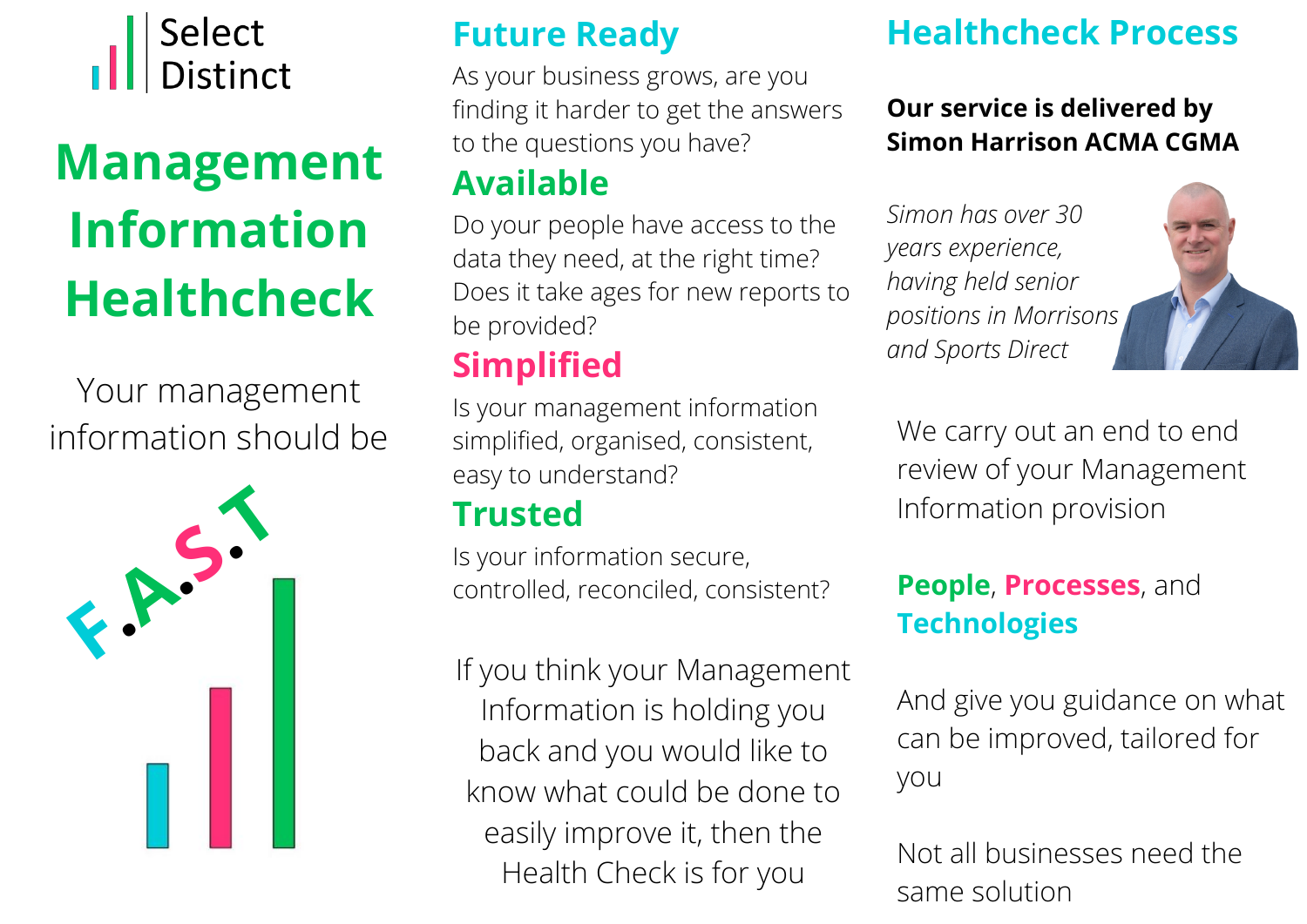

# **Management Information Healthcheck**

Your management information should be



## **Future Ready**

As your business grows, are you finding it harder to get the answers to the questions you have?

## **Available**

Do your people have access to the data they need, at the right time? Does it take ages for new reports to be provided?

# **Simplified**

Is your management information simplified, organised, consistent, easy to understand?

## **Trusted**

Is your information secure, controlled, reconciled, consistent?

If you think your Management Information is holding you back and you would like to know what could be done to easily improve it, then the Health Check is for you

# **Healthcheck Process**

#### **Our service is delivered by Simon Harrison ACMA CGMA**

*Simon has over 30 years experience, having held senior positions in Morrisons and Sports Direct*



We carry out an end to end review of your Management Information provision

## **People**, **Processes**, and **Technologies**

And give you guidance on what can be improved, tailored for you

Not all businesses need the same solution